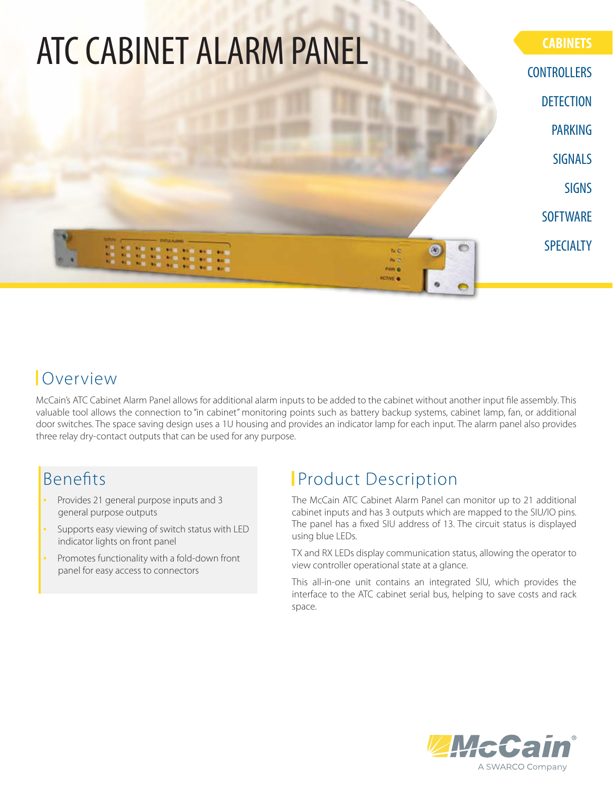

### Overview

McCain's ATC Cabinet Alarm Panel allows for additional alarm inputs to be added to the cabinet without another input file assembly. This valuable tool allows the connection to "in cabinet" monitoring points such as battery backup systems, cabinet lamp, fan, or additional door switches. The space saving design uses a 1U housing and provides an indicator lamp for each input. The alarm panel also provides three relay dry-contact outputs that can be used for any purpose.

### **Benefits**

- Provides 21 general purpose inputs and 3 general purpose outputs
- Supports easy viewing of switch status with LED indicator lights on front panel
- Promotes functionality with a fold-down front panel for easy access to connectors

## **Product Description**

The McCain ATC Cabinet Alarm Panel can monitor up to 21 additional cabinet inputs and has 3 outputs which are mapped to the SIU/IO pins. The panel has a fixed SIU address of 13. The circuit status is displayed using blue LEDs.

TX and RX LEDs display communication status, allowing the operator to view controller operational state at a glance.

This all-in-one unit contains an integrated SIU, which provides the interface to the ATC cabinet serial bus, helping to save costs and rack space.